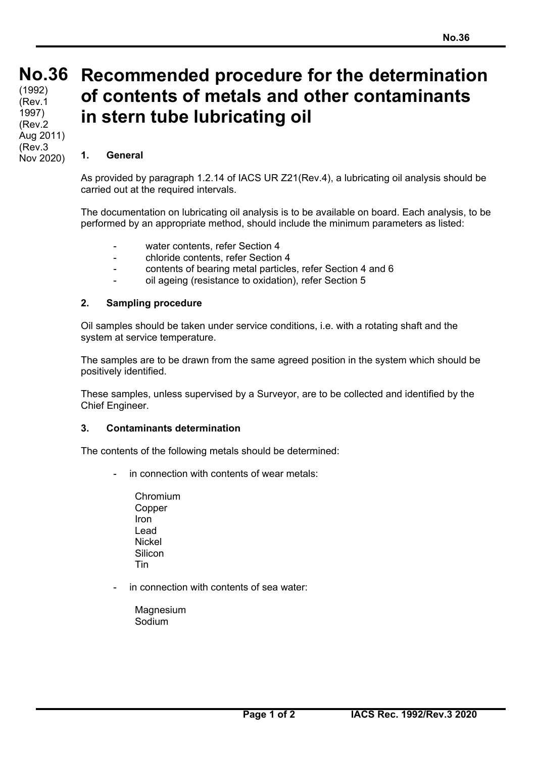## **No. No.36**  (1992)

**36**  (Rev.1 1997) (Rev.2 Aug 2011) (Rev.3 Nov 2020)

# **Recommended procedure for the determination of contents of metals and other contaminants in stern tube lubricating oil**

### **1. General**

As provided by paragraph 1.2.14 of IACS UR Z21(Rev.4), a lubricating oil analysis should be carried out at the required intervals.

The documentation on lubricating oil analysis is to be available on board. Each analysis, to be performed by an appropriate method, should include the minimum parameters as listed:

- water contents, refer Section 4
- chloride contents, refer Section 4
- contents of bearing metal particles, refer Section 4 and 6
- oil ageing (resistance to oxidation), refer Section 5

#### **2. Sampling procedure**

Oil samples should be taken under service conditions, i.e. with a rotating shaft and the system at service temperature.

The samples are to be drawn from the same agreed position in the system which should be positively identified.

These samples, unless supervised by a Surveyor, are to be collected and identified by the Chief Engineer.

#### **3. Contaminants determination**

The contents of the following metals should be determined:

- in connection with contents of wear metals:
	- Chromium Copper Iron Lead Nickel **Silicon** Tin
- in connection with contents of sea water:
	- **Magnesium** Sodium

 $\overline{a}$